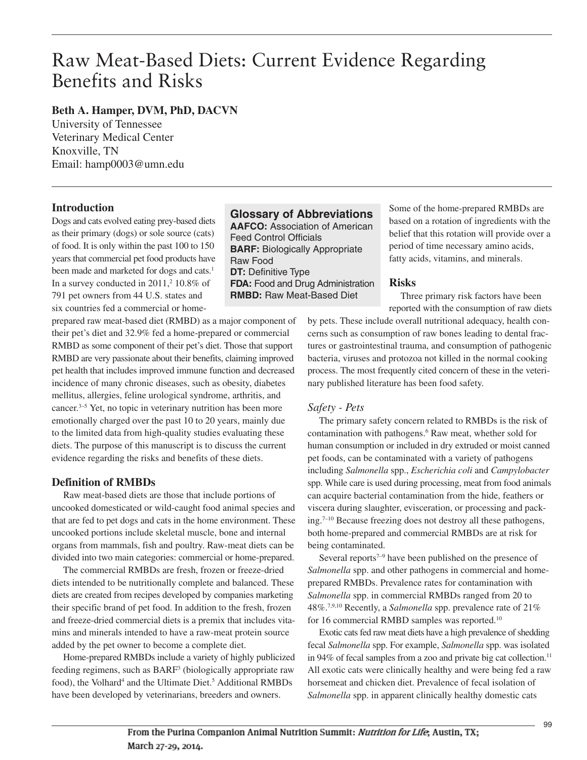# Raw Meat-Based Diets: Current Evidence Regarding Benefits and Risks

## **Beth A. Hamper, DVM, PhD, DACVN**

University of Tennessee Veterinary Medical Center Knoxville, TN Email: hamp0003@umn.edu

## **Introduction**

Dogs and cats evolved eating prey-based diets as their primary (dogs) or sole source (cats) of food. It is only within the past 100 to 150 years that commercial pet food products have been made and marketed for dogs and cats. 1 In a survey conducted in 2011, <sup>2</sup> 10.8% of 791 pet owners from 44 U.S. states and six countries fed a commercial or home-

prepared raw meat-based diet (RMBD) as a major component of their pet's diet and 32.9% fed a home-prepared or commercial RMBD as some component of their pet's diet. Those that support RMBD are very passionate about their benefits, claiming improved pet health that includes improved immune function and decreased incidence of many chronic diseases, such as obesity, diabetes mellitus, allergies, feline urological syndrome, arthritis, and cancer. 3–5 Yet, no topic in veterinary nutrition has been more emotionally charged over the past 10 to 20 years, mainly due to the limited data from high-quality studies evaluating these diets. The purpose of this manuscript is to discuss the current evidence regarding the risks and benefits of these diets.

## **Definition of RMBDs**

Raw meat-based diets are those that include portions of uncooked domesticated or wild-caught food animal species and that are fed to pet dogs and cats in the home environment. These uncooked portions include skeletal muscle, bone and internal organs from mammals, fish and poultry. Raw-meat diets can be divided into two main categories: commercial or home-prepared.

The commercial RMBDs are fresh, frozen or freeze-dried diets intended to be nutritionally complete and balanced. These diets are created from recipes developed by companies marketing their specific brand of pet food. In addition to the fresh, frozen and freeze-dried commercial diets is a premix that includes vitamins and minerals intended to have a raw-meat protein source added by the pet owner to become a complete diet.

Home-prepared RMBDs include a variety of highly publicized feeding regimens, such as BARF<sup>3</sup> (biologically appropriate raw food), the Volhard<sup>4</sup> and the Ultimate Diet.<sup>5</sup> Additional RMBDs have been developed by veterinarians, breeders and owners.

**Glossary of Abbreviations AAFCO:** Association of American Feed Control Officials **BARF:** Biologically Appropriate Raw Food **DT:** Definitive Type **FDA:** Food and Drug Administration **RMBD:** Raw Meat-Based Diet

Some of the home-prepared RMBDs are based on a rotation of ingredients with the belief that this rotation will provide over a period of time necessary amino acids, fatty acids, vitamins, and minerals.

## **Risks**

Three primary risk factors have been reported with the consumption of raw diets

by pets. These include overall nutritional adequacy, health concerns such as consumption of raw bones leading to dental fractures or gastrointestinal trauma, and consumption of pathogenic bacteria, viruses and protozoa not killed in the normal cooking process. The most frequently cited concern of these in the veterinary published literature has been food safety.

## *Safety - Pets*

The primary safety concern related to RMBDs is the risk of contamination with pathogens. <sup>6</sup> Raw meat, whether sold for human consumption or included in dry extruded or moist canned pet foods, can be contaminated with a variety of pathogens including *Salmonella* spp., *Escherichia coli* and *Campylobacter* spp. While care is used during processing, meat from food animals can acquire bacterial contamination from the hide, feathers or viscera during slaughter, evisceration, or processing and packing. 7–10 Because freezing does not destroy all these pathogens, both home-prepared and commercial RMBDs are at risk for being contaminated.

Several reports $7-9$  have been published on the presence of *Salmonella* spp. and other pathogens in commercial and homeprepared RMBDs. Prevalence rates for contamination with *Salmonella* spp. in commercial RMBDs ranged from 20 to 48%. 7,9,10 Recently, a *Salmonella* spp. prevalence rate of 21% for 16 commercial RMBD samples was reported.<sup>10</sup>

Exotic cats fed raw meat diets have a high prevalence of shedding fecal *Salmonella* spp. For example, *Salmonella* spp. was isolated in 94% of fecal samples from a zoo and private big cat collection. 11 All exotic cats were clinically healthy and were being fed a raw horsemeat and chicken diet. Prevalence of fecal isolation of *Salmonella* spp. in apparent clinically healthy domestic cats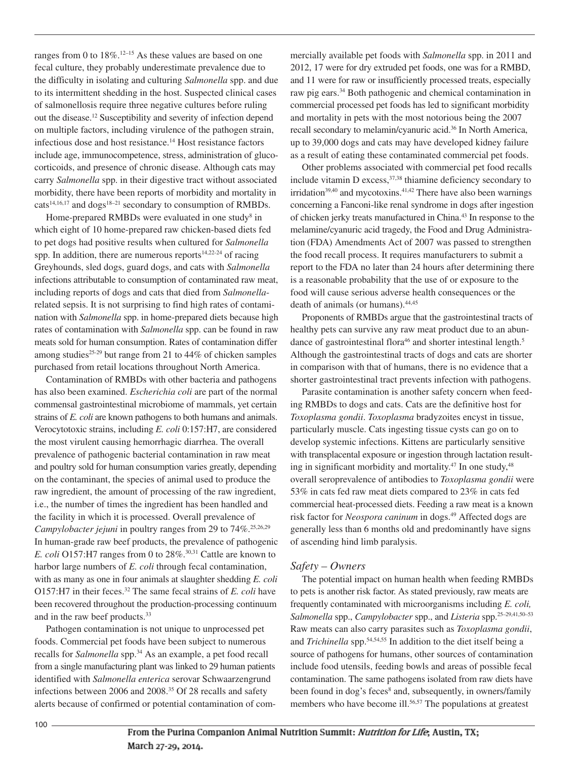ranges from 0 to 18%.<sup>12–15</sup> As these values are based on one fecal culture, they probably underestimate prevalence due to the difficulty in isolating and culturing *Salmonella* spp. and due to its intermittent shedding in the host. Suspected clinical cases of salmonellosis require three negative cultures before ruling out the disease. <sup>12</sup> Susceptibility and severity of infection depend on multiple factors, including virulence of the pathogen strain, infectious dose and host resistance. <sup>14</sup> Host resistance factors include age, immunocompetence, stress, administration of glucocorticoids, and presence of chronic disease. Although cats may carry *Salmonella* spp. in their digestive tract without associated morbidity, there have been reports of morbidity and mortality in cats<sup>14,16,17</sup> and dogs<sup>18–21</sup> secondary to consumption of RMBDs.

Home-prepared RMBDs were evaluated in one study<sup>8</sup> in which eight of 10 home-prepared raw chicken-based diets fed to pet dogs had positive results when cultured for *Salmonella* spp. In addition, there are numerous reports<sup>14,22-24</sup> of racing Greyhounds, sled dogs, guard dogs, and cats with *Salmonella* infections attributable to consumption of contaminated raw meat, including reports of dogs and cats that died from *Salmonella*related sepsis. It is not surprising to find high rates of contamination with *Salmonella* spp. in home-prepared diets because high rates of contamination with *Salmonella* spp. can be found in raw meats sold for human consumption. Rates of contamination differ among studies<sup>25-29</sup> but range from 21 to 44% of chicken samples purchased from retail locations throughout North America.

Contamination of RMBDs with other bacteria and pathogens has also been examined. *Escherichia coli* are part of the normal commensal gastrointestinal microbiome of mammals, yet certain strains of *E. coli* are known pathogens to both humans and animals. Verocytotoxic strains, including *E. coli* 0:157:H7, are considered the most virulent causing hemorrhagic diarrhea. The overall prevalence of pathogenic bacterial contamination in raw meat and poultry sold for human consumption varies greatly, depending on the contaminant, the species of animal used to produce the raw ingredient, the amount of processing of the raw ingredient, i.e., the number of times the ingredient has been handled and the facility in which it is processed. Overall prevalence of *Campylobacter jejuni* in poultry ranges from 29 to 74%. 25,26,29 In human-grade raw beef products, the prevalence of pathogenic *E. coli* O157:H7 ranges from 0 to 28%. 30,31 Cattle are known to harbor large numbers of *E. coli* through fecal contamination, with as many as one in four animals at slaughter shedding *E. coli* O157:H7 in their feces. <sup>32</sup> The same fecal strains of *E. coli* have been recovered throughout the production-processing continuum and in the raw beef products. 33

Pathogen contamination is not unique to unprocessed pet foods. Commercial pet foods have been subject to numerous recalls for *Salmonella* spp. <sup>34</sup> As an example, a pet food recall from a single manufacturing plant was linked to 29 human patients identified with *Salmonella enterica* serovar Schwaarzengrund infections between 2006 and 2008. <sup>35</sup> Of 28 recalls and safety alerts because of confirmed or potential contamination of commercially available pet foods with *Salmonella* spp. in 2011 and 2012, 17 were for dry extruded pet foods, one was for a RMBD, and 11 were for raw or insufficiently processed treats, especially raw pig ears. <sup>34</sup> Both pathogenic and chemical contamination in commercial processed pet foods has led to significant morbidity and mortality in pets with the most notorious being the 2007 recall secondary to melamin/cyanuric acid. <sup>36</sup> In North America, up to 39,000 dogs and cats may have developed kidney failure as a result of eating these contaminated commercial pet foods.

Other problems associated with commercial pet food recalls include vitamin D excess, 37,38 thiamine deficiency secondary to irridation<sup>39,40</sup> and mycotoxins.<sup>41,42</sup> There have also been warnings concerning a Fanconi-like renal syndrome in dogs after ingestion of chicken jerky treats manufactured in China. <sup>43</sup> In response to the melamine/cyanuric acid tragedy, the Food and Drug Administration (FDA) Amendments Act of 2007 was passed to strengthen the food recall process. It requires manufacturers to submit a report to the FDA no later than 24 hours after determining there is a reasonable probability that the use of or exposure to the food will cause serious adverse health consequences or the death of animals (or humans). 44,45

Proponents of RMBDs argue that the gastrointestinal tracts of healthy pets can survive any raw meat product due to an abundance of gastrointestinal flora<sup>46</sup> and shorter intestinal length.<sup>5</sup> Although the gastrointestinal tracts of dogs and cats are shorter in comparison with that of humans, there is no evidence that a shorter gastrointestinal tract prevents infection with pathogens.

Parasite contamination is another safety concern when feeding RMBDs to dogs and cats. Cats are the definitive host for *Toxoplasma gondii*. *Toxoplasma* bradyzoites encyst in tissue, particularly muscle. Cats ingesting tissue cysts can go on to develop systemic infections. Kittens are particularly sensitive with transplacental exposure or ingestion through lactation resulting in significant morbidity and mortality.<sup>47</sup> In one study,<sup>48</sup> overall seroprevalence of antibodies to *Toxoplasma gondii* were 53% in cats fed raw meat diets compared to 23% in cats fed commercial heat-processed diets. Feeding a raw meat is a known risk factor for *Neospora caninum* in dogs. <sup>49</sup> Affected dogs are generally less than 6 months old and predominantly have signs of ascending hind limb paralysis.

#### *Safety – Owners*

The potential impact on human health when feeding RMBDs to pets is another risk factor. As stated previously, raw meats are frequently contaminated with microorganisms including *E. coli, Salmonella* spp., *Campylobacter* spp., and *Listeria* spp. 25–29,41,50–53 Raw meats can also carry parasites such as *Toxoplasma gondii*, and *Trichinella* spp. 54,54,55 In addition to the diet itself being a source of pathogens for humans, other sources of contamination include food utensils, feeding bowls and areas of possible fecal contamination. The same pathogens isolated from raw diets have been found in dog's feces<sup>8</sup> and, subsequently, in owners/family members who have become ill.<sup>56,57</sup> The populations at greatest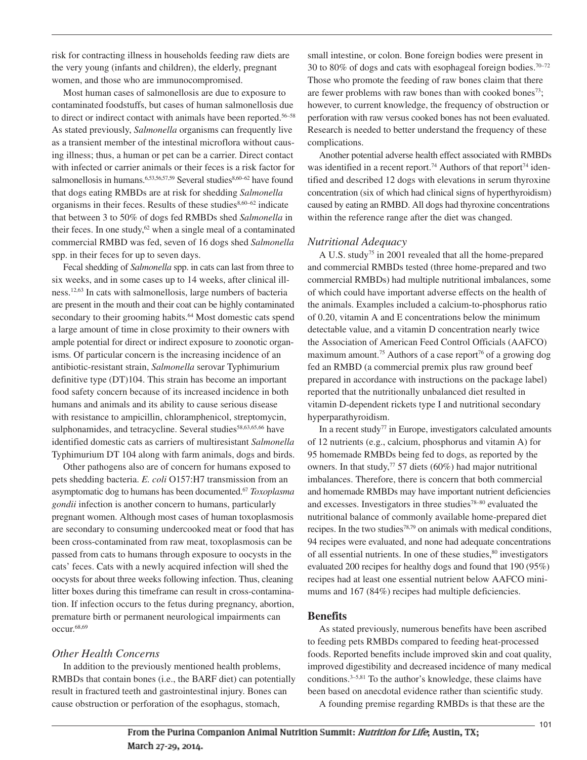risk for contracting illness in households feeding raw diets are the very young (infants and children), the elderly, pregnant women, and those who are immunocompromised.

Most human cases of salmonellosis are due to exposure to contaminated foodstuffs, but cases of human salmonellosis due to direct or indirect contact with animals have been reported. 56–58 As stated previously, *Salmonella* organisms can frequently live as a transient member of the intestinal microflora without causing illness; thus, a human or pet can be a carrier. Direct contact with infected or carrier animals or their feces is a risk factor for salmonellosis in humans.<sup>6,53,56,57,59</sup> Several studies<sup>8,60–62</sup> have found that dogs eating RMBDs are at risk for shedding *Salmonella* organisms in their feces. Results of these studies $8,60-62$  indicate that between 3 to 50% of dogs fed RMBDs shed *Salmonella* in their feces. In one study, <sup>62</sup> when a single meal of a contaminated commercial RMBD was fed, seven of 16 dogs shed *Salmonella* spp. in their feces for up to seven days.

Fecal shedding of *Salmonella* spp. in cats can last from three to six weeks, and in some cases up to 14 weeks, after clinical illness. 12,63 In cats with salmonellosis, large numbers of bacteria are present in the mouth and their coat can be highly contaminated secondary to their grooming habits.<sup>64</sup> Most domestic cats spend a large amount of time in close proximity to their owners with ample potential for direct or indirect exposure to zoonotic organisms. Of particular concern is the increasing incidence of an antibiotic-resistant strain, *Salmonella* serovar Typhimurium definitive type (DT)104. This strain has become an important food safety concern because of its increased incidence in both humans and animals and its ability to cause serious disease with resistance to ampicillin, chloramphenicol, streptomycin, sulphonamides, and tetracycline. Several studies<sup>58,63,65,66</sup> have identified domestic cats as carriers of multiresistant *Salmonella* Typhimurium DT 104 along with farm animals, dogs and birds.

Other pathogens also are of concern for humans exposed to pets shedding bacteria. *E. coli* O157:H7 transmission from an asymptomatic dog to humans has been documented. <sup>67</sup> *Toxoplasma gondii* infection is another concern to humans, particularly pregnant women. Although most cases of human toxoplasmosis are secondary to consuming undercooked meat or food that has been cross-contaminated from raw meat, toxoplasmosis can be passed from cats to humans through exposure to oocysts in the cats' feces. Cats with a newly acquired infection will shed the oocysts for about three weeks following infection. Thus, cleaning litter boxes during this timeframe can result in cross-contamination. If infection occurs to the fetus during pregnancy, abortion, premature birth or permanent neurological impairments can occur. 68,69

#### *Other Health Concerns*

In addition to the previously mentioned health problems, RMBDs that contain bones (i.e., the BARF diet) can potentially result in fractured teeth and gastrointestinal injury. Bones can cause obstruction or perforation of the esophagus, stomach,

small intestine, or colon. Bone foreign bodies were present in 30 to 80% of dogs and cats with esophageal foreign bodies. 70–72 Those who promote the feeding of raw bones claim that there are fewer problems with raw bones than with cooked bones<sup>73</sup>; however, to current knowledge, the frequency of obstruction or perforation with raw versus cooked bones has not been evaluated. Research is needed to better understand the frequency of these complications.

Another potential adverse health effect associated with RMBDs was identified in a recent report.<sup>74</sup> Authors of that report<sup>74</sup> identified and described 12 dogs with elevations in serum thyroxine concentration (six of which had clinical signs of hyperthyroidism) caused by eating an RMBD. All dogs had thyroxine concentrations within the reference range after the diet was changed.

#### *Nutritional Adequacy*

A U.S. study75 in 2001 revealed that all the home-prepared and commercial RMBDs tested (three home-prepared and two commercial RMBDs) had multiple nutritional imbalances, some of which could have important adverse effects on the health of the animals. Examples included a calcium-to-phosphorus ratio of 0.20, vitamin A and E concentrations below the minimum detectable value, and a vitamin D concentration nearly twice the Association of American Feed Control Officials (AAFCO) maximum amount.<sup>75</sup> Authors of a case report<sup>76</sup> of a growing dog fed an RMBD (a commercial premix plus raw ground beef prepared in accordance with instructions on the package label) reported that the nutritionally unbalanced diet resulted in vitamin D-dependent rickets type I and nutritional secondary hyperparathyroidism.

In a recent study<sup> $77$ </sup> in Europe, investigators calculated amounts of 12 nutrients (e.g., calcium, phosphorus and vitamin A) for 95 homemade RMBDs being fed to dogs, as reported by the owners. In that study, <sup>77</sup> 57 diets (60%) had major nutritional imbalances. Therefore, there is concern that both commercial and homemade RMBDs may have important nutrient deficiencies and excesses. Investigators in three studies78–80 evaluated the nutritional balance of commonly available home-prepared diet recipes. In the two studies<sup>78,79</sup> on animals with medical conditions, 94 recipes were evaluated, and none had adequate concentrations of all essential nutrients. In one of these studies, <sup>80</sup> investigators evaluated 200 recipes for healthy dogs and found that 190 (95%) recipes had at least one essential nutrient below AAFCO minimums and 167 (84%) recipes had multiple deficiencies.

#### **Benefits**

As stated previously, numerous benefits have been ascribed to feeding pets RMBDs compared to feeding heat-processed foods. Reported benefits include improved skin and coat quality, improved digestibility and decreased incidence of many medical conditions. 3–5,81 To the author's knowledge, these claims have been based on anecdotal evidence rather than scientific study.

A founding premise regarding RMBDs is that these are the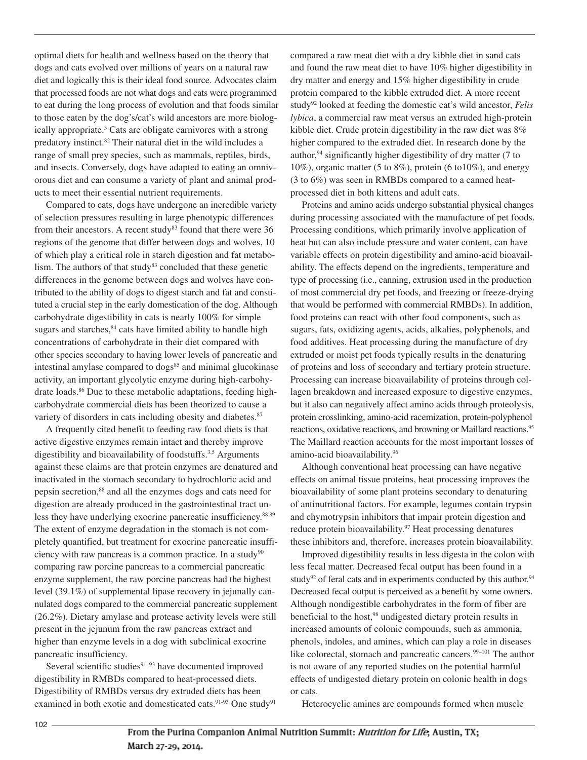optimal diets for health and wellness based on the theory that dogs and cats evolved over millions of years on a natural raw diet and logically this is their ideal food source. Advocates claim that processed foods are not what dogs and cats were programmed to eat during the long process of evolution and that foods similar to those eaten by the dog's/cat's wild ancestors are more biologically appropriate. <sup>3</sup> Cats are obligate carnivores with a strong predatory instinct. <sup>82</sup> Their natural diet in the wild includes a range of small prey species, such as mammals, reptiles, birds, and insects. Conversely, dogs have adapted to eating an omnivorous diet and can consume a variety of plant and animal products to meet their essential nutrient requirements.

Compared to cats, dogs have undergone an incredible variety of selection pressures resulting in large phenotypic differences from their ancestors. A recent study<sup>83</sup> found that there were 36 regions of the genome that differ between dogs and wolves, 10 of which play a critical role in starch digestion and fat metabolism. The authors of that study $83$  concluded that these genetic differences in the genome between dogs and wolves have contributed to the ability of dogs to digest starch and fat and constituted a crucial step in the early domestication of the dog. Although carbohydrate digestibility in cats is nearly 100% for simple sugars and starches,  $84$  cats have limited ability to handle high concentrations of carbohydrate in their diet compared with other species secondary to having lower levels of pancreatic and intestinal amylase compared to dogs<sup>85</sup> and minimal glucokinase activity, an important glycolytic enzyme during high-carbohydrate loads. <sup>86</sup> Due to these metabolic adaptations, feeding highcarbohydrate commercial diets has been theorized to cause a variety of disorders in cats including obesity and diabetes.<sup>87</sup>

A frequently cited benefit to feeding raw food diets is that active digestive enzymes remain intact and thereby improve digestibility and bioavailability of foodstuffs. 3,5 Arguments against these claims are that protein enzymes are denatured and inactivated in the stomach secondary to hydrochloric acid and pepsin secretion, <sup>88</sup> and all the enzymes dogs and cats need for digestion are already produced in the gastrointestinal tract unless they have underlying exocrine pancreatic insufficiency. 88,89 The extent of enzyme degradation in the stomach is not completely quantified, but treatment for exocrine pancreatic insufficiency with raw pancreas is a common practice. In a study<sup>90</sup> comparing raw porcine pancreas to a commercial pancreatic enzyme supplement, the raw porcine pancreas had the highest level (39.1%) of supplemental lipase recovery in jejunally cannulated dogs compared to the commercial pancreatic supplement (26.2%). Dietary amylase and protease activity levels were still present in the jejunum from the raw pancreas extract and higher than enzyme levels in a dog with subclinical exocrine pancreatic insufficiency.

Several scientific studies $91-93$  have documented improved digestibility in RMBDs compared to heat-processed diets. Digestibility of RMBDs versus dry extruded diets has been examined in both exotic and domesticated cats.<sup>91-93</sup> One study<sup>91</sup>

compared a raw meat diet with a dry kibble diet in sand cats and found the raw meat diet to have 10% higher digestibility in dry matter and energy and 15% higher digestibility in crude protein compared to the kibble extruded diet. A more recent study92 looked at feeding the domestic cat's wild ancestor, *Felis lybica*, a commercial raw meat versus an extruded high-protein kibble diet. Crude protein digestibility in the raw diet was 8% higher compared to the extruded diet. In research done by the author, <sup>94</sup> significantly higher digestibility of dry matter (7 to 10%), organic matter (5 to 8%), protein (6 to10%), and energy (3 to 6%) was seen in RMBDs compared to a canned heatprocessed diet in both kittens and adult cats.

Proteins and amino acids undergo substantial physical changes during processing associated with the manufacture of pet foods. Processing conditions, which primarily involve application of heat but can also include pressure and water content, can have variable effects on protein digestibility and amino-acid bioavailability. The effects depend on the ingredients, temperature and type of processing (i.e., canning, extrusion used in the production of most commercial dry pet foods, and freezing or freeze-drying that would be performed with commercial RMBDs). In addition, food proteins can react with other food components, such as sugars, fats, oxidizing agents, acids, alkalies, polyphenols, and food additives. Heat processing during the manufacture of dry extruded or moist pet foods typically results in the denaturing of proteins and loss of secondary and tertiary protein structure. Processing can increase bioavailability of proteins through collagen breakdown and increased exposure to digestive enzymes, but it also can negatively affect amino acids through proteolysis, protein crosslinking, amino-acid racemization, protein-polyphenol reactions, oxidative reactions, and browning or Maillard reactions. 95 The Maillard reaction accounts for the most important losses of amino-acid bioavailability. 96

Although conventional heat processing can have negative effects on animal tissue proteins, heat processing improves the bioavailability of some plant proteins secondary to denaturing of antinutritional factors. For example, legumes contain trypsin and chymotrypsin inhibitors that impair protein digestion and reduce protein bioavailability.<sup>97</sup> Heat processing denatures these inhibitors and, therefore, increases protein bioavailability.

Improved digestibility results in less digesta in the colon with less fecal matter. Decreased fecal output has been found in a study<sup>92</sup> of feral cats and in experiments conducted by this author.<sup>94</sup> Decreased fecal output is perceived as a benefit by some owners. Although nondigestible carbohydrates in the form of fiber are beneficial to the host, <sup>98</sup> undigested dietary protein results in increased amounts of colonic compounds, such as ammonia, phenols, indoles, and amines, which can play a role in diseases like colorectal, stomach and pancreatic cancers.<sup>99–101</sup> The author is not aware of any reported studies on the potential harmful effects of undigested dietary protein on colonic health in dogs or cats.

Heterocyclic amines are compounds formed when muscle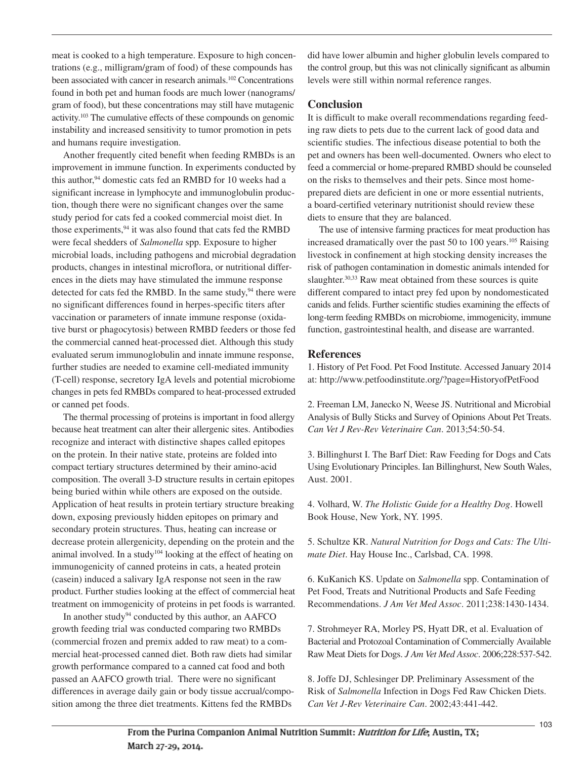meat is cooked to a high temperature. Exposure to high concentrations (e.g., milligram/gram of food) of these compounds has been associated with cancer in research animals.<sup>102</sup> Concentrations found in both pet and human foods are much lower (nanograms/ gram of food), but these concentrations may still have mutagenic activity.<sup>103</sup> The cumulative effects of these compounds on genomic instability and increased sensitivity to tumor promotion in pets and humans require investigation.

Another frequently cited benefit when feeding RMBDs is an improvement in immune function. In experiments conducted by this author, <sup>94</sup> domestic cats fed an RMBD for 10 weeks had a significant increase in lymphocyte and immunoglobulin production, though there were no significant changes over the same study period for cats fed a cooked commercial moist diet. In those experiments, <sup>94</sup> it was also found that cats fed the RMBD were fecal shedders of *Salmonella* spp. Exposure to higher microbial loads, including pathogens and microbial degradation products, changes in intestinal microflora, or nutritional differences in the diets may have stimulated the immune response detected for cats fed the RMBD. In the same study,<sup>94</sup> there were no significant differences found in herpes-specific titers after vaccination or parameters of innate immune response (oxidative burst or phagocytosis) between RMBD feeders or those fed the commercial canned heat-processed diet. Although this study evaluated serum immunoglobulin and innate immune response, further studies are needed to examine cell-mediated immunity (T-cell) response, secretory IgA levels and potential microbiome changes in pets fed RMBDs compared to heat-processed extruded or canned pet foods.

The thermal processing of proteins is important in food allergy because heat treatment can alter their allergenic sites. Antibodies recognize and interact with distinctive shapes called epitopes on the protein. In their native state, proteins are folded into compact tertiary structures determined by their amino-acid composition. The overall 3-D structure results in certain epitopes being buried within while others are exposed on the outside. Application of heat results in protein tertiary structure breaking down, exposing previously hidden epitopes on primary and secondary protein structures. Thus, heating can increase or decrease protein allergenicity, depending on the protein and the animal involved. In a study<sup>104</sup> looking at the effect of heating on immunogenicity of canned proteins in cats, a heated protein (casein) induced a salivary IgA response not seen in the raw product. Further studies looking at the effect of commercial heat treatment on immogenicity of proteins in pet foods is warranted.

In another study<sup>94</sup> conducted by this author, an AAFCO growth feeding trial was conducted comparing two RMBDs (commercial frozen and premix added to raw meat) to a commercial heat-processed canned diet. Both raw diets had similar growth performance compared to a canned cat food and both passed an AAFCO growth trial. There were no significant differences in average daily gain or body tissue accrual/composition among the three diet treatments. Kittens fed the RMBDs

did have lower albumin and higher globulin levels compared to the control group, but this was not clinically significant as albumin levels were still within normal reference ranges.

## **Conclusion**

It is difficult to make overall recommendations regarding feeding raw diets to pets due to the current lack of good data and scientific studies. The infectious disease potential to both the pet and owners has been well-documented. Owners who elect to feed a commercial or home-prepared RMBD should be counseled on the risks to themselves and their pets. Since most homeprepared diets are deficient in one or more essential nutrients, a board-certified veterinary nutritionist should review these diets to ensure that they are balanced.

The use of intensive farming practices for meat production has increased dramatically over the past 50 to 100 years. <sup>105</sup> Raising livestock in confinement at high stocking density increases the risk of pathogen contamination in domestic animals intended for slaughter.<sup>30,33</sup> Raw meat obtained from these sources is quite different compared to intact prey fed upon by nondomesticated canids and felids. Further scientific studies examining the effects of long-term feeding RMBDs on microbiome, immogenicity, immune function, gastrointestinal health, and disease are warranted.

## **References**

1. History of Pet Food. Pet Food Institute. Accessed January 2014 at: http://www.petfoodinstitute.org/?page=HistoryofPetFood

2. Freeman LM, Janecko N, Weese JS. Nutritional and Microbial Analysis of Bully Sticks and Survey of Opinions About Pet Treats. *Can Vet J Rev-Rev Veterinaire Can*. 2013;54:50-54.

3. Billinghurst I. The Barf Diet: Raw Feeding for Dogs and Cats Using Evolutionary Principles. Ian Billinghurst, New South Wales, Aust. 2001.

4. Volhard, W. *The Holistic Guide for a Healthy Dog*. Howell Book House, New York, NY. 1995.

5. Schultze KR. *Natural Nutrition for Dogs and Cats: The Ultimate Diet*. Hay House Inc., Carlsbad, CA. 1998.

6. KuKanich KS. Update on *Salmonella* spp. Contamination of Pet Food, Treats and Nutritional Products and Safe Feeding Recommendations. *J Am Vet Med Assoc*. 2011;238:1430-1434.

7. Strohmeyer RA, Morley PS, Hyatt DR, et al. Evaluation of Bacterial and Protozoal Contamination of Commercially Available Raw Meat Diets for Dogs. *J Am Vet Med Assoc*. 2006;228:537-542.

8. Joffe DJ, Schlesinger DP. Preliminary Assessment of the Risk of *Salmonella* Infection in Dogs Fed Raw Chicken Diets. *Can Vet J-Rev Veterinaire Can*. 2002;43:441-442.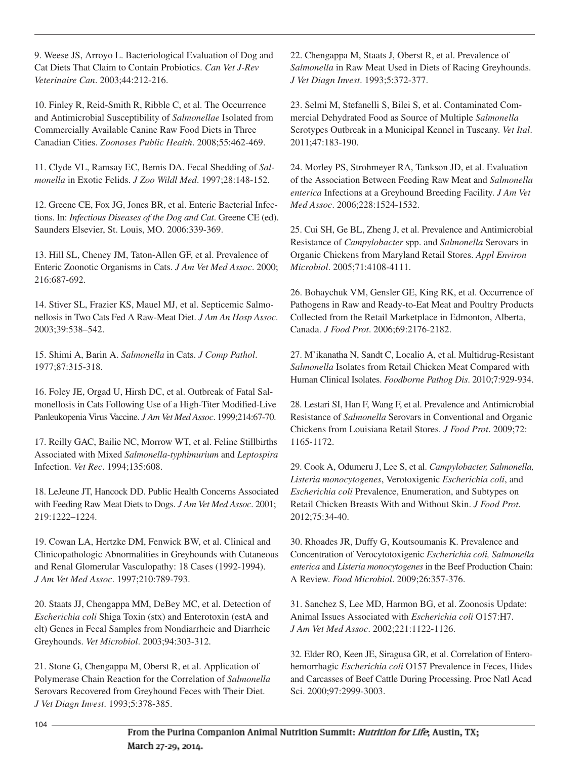9. Weese JS, Arroyo L. Bacteriological Evaluation of Dog and Cat Diets That Claim to Contain Probiotics. *Can Vet J-Rev Veterinaire Can*. 2003;44:212-216.

10. Finley R, Reid-Smith R, Ribble C, et al. The Occurrence and Antimicrobial Susceptibility of *Salmonellae* Isolated from Commercially Available Canine Raw Food Diets in Three Canadian Cities. *Zoonoses Public Health*. 2008;55:462-469.

11. Clyde VL, Ramsay EC, Bemis DA. Fecal Shedding of *Salmonella* in Exotic Felids. *J Zoo Wildl Med*. 1997;28:148-152.

12. Greene CE, Fox JG, Jones BR, et al. Enteric Bacterial Infections. In: *Infectious Diseases of the Dog and Cat*. Greene CE (ed). Saunders Elsevier, St. Louis, MO. 2006:339-369.

13. Hill SL, Cheney JM, Taton-Allen GF, et al. Prevalence of Enteric Zoonotic Organisms in Cats. *J Am Vet Med Assoc*. 2000; 216:687-692.

14. Stiver SL, Frazier KS, Mauel MJ, et al. Septicemic Salmonellosis in Two Cats Fed A Raw-Meat Diet. *J Am An Hosp Assoc*. 2003;39:538–542.

15. Shimi A, Barin A. *Salmonella* in Cats. *J Comp Pathol*. 1977;87:315-318.

16. Foley JE, Orgad U, Hirsh DC, et al. Outbreak of Fatal Salmonellosis in Cats Following Use of a High-Titer Modified-Live Panleukopenia Virus Vaccine. *J Am Vet Med Assoc*. 1999;214:67-70.

17. Reilly GAC, Bailie NC, Morrow WT, et al. Feline Stillbirths Associated with Mixed *Salmonella-typhimurium* and *Leptospira* Infection. *Vet Rec*. 1994;135:608.

18. LeJeune JT, Hancock DD. Public Health Concerns Associated with Feeding Raw Meat Diets to Dogs. *J Am Vet Med Assoc*. 2001; 219:1222–1224.

19. Cowan LA, Hertzke DM, Fenwick BW, et al. Clinical and Clinicopathologic Abnormalities in Greyhounds with Cutaneous and Renal Glomerular Vasculopathy: 18 Cases (1992-1994). *J Am Vet Med Assoc*. 1997;210:789-793.

20. Staats JJ, Chengappa MM, DeBey MC, et al. Detection of *Escherichia coli* Shiga Toxin (stx) and Enterotoxin (estA and elt) Genes in Fecal Samples from Nondiarrheic and Diarrheic Greyhounds. *Vet Microbiol*. 2003;94:303-312.

21. Stone G, Chengappa M, Oberst R, et al. Application of Polymerase Chain Reaction for the Correlation of *Salmonella* Serovars Recovered from Greyhound Feces with Their Diet. *J Vet Diagn Invest*. 1993;5:378-385.

22. Chengappa M, Staats J, Oberst R, et al. Prevalence of *Salmonella* in Raw Meat Used in Diets of Racing Greyhounds. *J Vet Diagn Invest*. 1993;5:372-377.

23. Selmi M, Stefanelli S, Bilei S, et al. Contaminated Commercial Dehydrated Food as Source of Multiple *Salmonella* Serotypes Outbreak in a Municipal Kennel in Tuscany. *Vet Ital*. 2011;47:183-190.

24. Morley PS, Strohmeyer RA, Tankson JD, et al. Evaluation of the Association Between Feeding Raw Meat and *Salmonella enterica* Infections at a Greyhound Breeding Facility. *J Am Vet Med Assoc*. 2006;228:1524-1532.

25. Cui SH, Ge BL, Zheng J, et al. Prevalence and Antimicrobial Resistance of *Campylobacter* spp. and *Salmonella* Serovars in Organic Chickens from Maryland Retail Stores. *Appl Environ Microbiol*. 2005;71:4108-4111.

26. Bohaychuk VM, Gensler GE, King RK, et al. Occurrence of Pathogens in Raw and Ready-to-Eat Meat and Poultry Products Collected from the Retail Marketplace in Edmonton, Alberta, Canada. *J Food Prot*. 2006;69:2176-2182.

27. M'ikanatha N, Sandt C, Localio A, et al. Multidrug-Resistant *Salmonella* Isolates from Retail Chicken Meat Compared with Human Clinical Isolates. *Foodborne Pathog Dis*. 2010;7:929-934.

28. Lestari SI, Han F, Wang F, et al. Prevalence and Antimicrobial Resistance of *Salmonella* Serovars in Conventional and Organic Chickens from Louisiana Retail Stores. *J Food Prot*. 2009;72: 1165-1172.

29. Cook A, Odumeru J, Lee S, et al. *Campylobacter, Salmonella, Listeria monocytogenes*, Verotoxigenic *Escherichia coli*, and *Escherichia coli* Prevalence, Enumeration, and Subtypes on Retail Chicken Breasts With and Without Skin. *J Food Prot*. 2012;75:34-40.

30. Rhoades JR, Duffy G, Koutsoumanis K. Prevalence and Concentration of Verocytotoxigenic *Escherichia coli, Salmonella enterica* and *Listeria monocytogenes* in the Beef Production Chain: A Review. *Food Microbiol*. 2009;26:357-376.

31. Sanchez S, Lee MD, Harmon BG, et al. Zoonosis Update: Animal Issues Associated with *Escherichia coli* O157:H7. *J Am Vet Med Assoc*. 2002;221:1122-1126.

32. Elder RO, Keen JE, Siragusa GR, et al. Correlation of Enterohemorrhagic *Escherichia coli* O157 Prevalence in Feces, Hides and Carcasses of Beef Cattle During Processing. Proc Natl Acad Sci. 2000;97:2999-3003.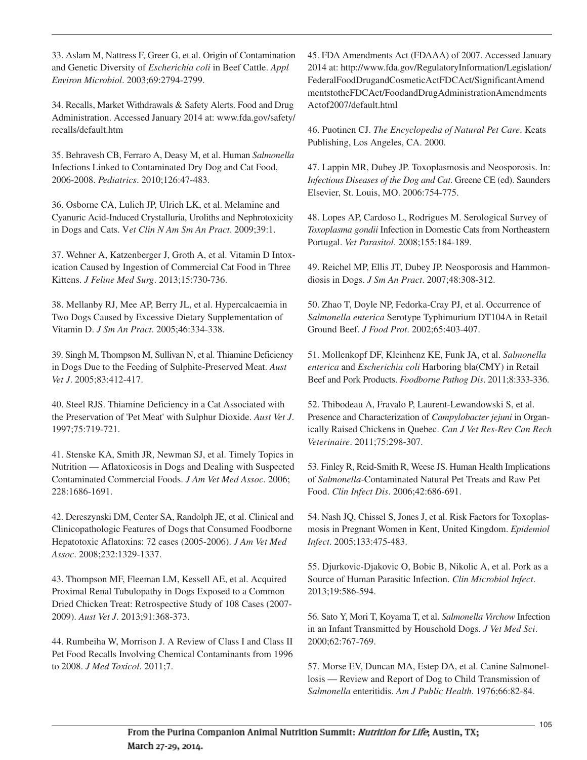33. Aslam M, Nattress F, Greer G, et al. Origin of Contamination and Genetic Diversity of *Escherichia coli* in Beef Cattle. *Appl Environ Microbiol*. 2003;69:2794-2799.

34. Recalls, Market Withdrawals & Safety Alerts. Food and Drug Administration. Accessed January 2014 at: www.fda.gov/safety/ recalls/default.htm

35. Behravesh CB, Ferraro A, Deasy M, et al. Human *Salmonella* Infections Linked to Contaminated Dry Dog and Cat Food, 2006-2008. *Pediatrics*. 2010;126:47-483.

36. Osborne CA, Lulich JP, Ulrich LK, et al. Melamine and Cyanuric Acid-Induced Crystalluria, Uroliths and Nephrotoxicity in Dogs and Cats. V*et Clin N Am Sm An Pract*. 2009;39:1.

37. Wehner A, Katzenberger J, Groth A, et al. Vitamin D Intoxication Caused by Ingestion of Commercial Cat Food in Three Kittens. *J Feline Med Surg*. 2013;15:730-736.

38. Mellanby RJ, Mee AP, Berry JL, et al. Hypercalcaemia in Two Dogs Caused by Excessive Dietary Supplementation of Vitamin D. *J Sm An Pract*. 2005;46:334-338.

39. Singh M, Thompson M, Sullivan N, et al. Thiamine Deficiency in Dogs Due to the Feeding of Sulphite-Preserved Meat. *Aust Vet J*. 2005;83:412-417.

40. Steel RJS. Thiamine Deficiency in a Cat Associated with the Preservation of 'Pet Meat' with Sulphur Dioxide. *Aust Vet J*. 1997;75:719-721.

41. Stenske KA, Smith JR, Newman SJ, et al. Timely Topics in Nutrition — Aflatoxicosis in Dogs and Dealing with Suspected Contaminated Commercial Foods. *J Am Vet Med Assoc*. 2006; 228:1686-1691.

42. Dereszynski DM, Center SA, Randolph JE, et al. Clinical and Clinicopathologic Features of Dogs that Consumed Foodborne Hepatotoxic Aflatoxins: 72 cases (2005-2006). *J Am Vet Med Assoc*. 2008;232:1329-1337.

43. Thompson MF, Fleeman LM, Kessell AE, et al. Acquired Proximal Renal Tubulopathy in Dogs Exposed to a Common Dried Chicken Treat: Retrospective Study of 108 Cases (2007- 2009). *Aust Vet J*. 2013;91:368-373.

44. Rumbeiha W, Morrison J. A Review of Class I and Class II Pet Food Recalls Involving Chemical Contaminants from 1996 to 2008. *J Med Toxicol*. 2011;7.

45. FDA Amendments Act (FDAAA) of 2007. Accessed January 2014 at: http://www.fda.gov/RegulatoryInformation/Legislation/ FederalFoodDrugandCosmeticActFDCAct/SignificantAmend mentstotheFDCAct/FoodandDrugAdministrationAmendments Actof2007/default.html

46. Puotinen CJ. *The Encyclopedia of Natural Pet Care*. Keats Publishing, Los Angeles, CA. 2000.

47. Lappin MR, Dubey JP. Toxoplasmosis and Neosporosis. In: *Infectious Diseases of the Dog and Cat*. Greene CE (ed). Saunders Elsevier, St. Louis, MO. 2006:754-775.

48. Lopes AP, Cardoso L, Rodrigues M. Serological Survey of *Toxoplasma gondii* Infection in Domestic Cats from Northeastern Portugal. *Vet Parasitol*. 2008;155:184-189.

49. Reichel MP, Ellis JT, Dubey JP. Neosporosis and Hammondiosis in Dogs. *J Sm An Pract*. 2007;48:308-312.

50. Zhao T, Doyle NP, Fedorka-Cray PJ, et al. Occurrence of *Salmonella enterica* Serotype Typhimurium DT104A in Retail Ground Beef. *J Food Prot*. 2002;65:403-407.

51. Mollenkopf DF, Kleinhenz KE, Funk JA, et al. *Salmonella enterica* and *Escherichia coli* Harboring bla(CMY) in Retail Beef and Pork Products. *Foodborne Pathog Dis*. 2011;8:333-336.

52. Thibodeau A, Fravalo P, Laurent-Lewandowski S, et al. Presence and Characterization of *Campylobacter jejuni* in Organically Raised Chickens in Quebec. *Can J Vet Res-Rev Can Rech Veterinaire*. 2011;75:298-307.

53. Finley R, Reid-Smith R, Weese JS. Human Health Implications of *Salmonella*-Contaminated Natural Pet Treats and Raw Pet Food. *Clin Infect Dis*. 2006;42:686-691.

54. Nash JQ, Chissel S, Jones J, et al. Risk Factors for Toxoplasmosis in Pregnant Women in Kent, United Kingdom. *Epidemiol Infect*. 2005;133:475-483.

55. Djurkovic-Djakovic O, Bobic B, Nikolic A, et al. Pork as a Source of Human Parasitic Infection. *Clin Microbiol Infect*. 2013;19:586-594.

56. Sato Y, Mori T, Koyama T, et al. *Salmonella Virchow* Infection in an Infant Transmitted by Household Dogs. *J Vet Med Sci*. 2000;62:767-769.

57. Morse EV, Duncan MA, Estep DA, et al. Canine Salmonellosis — Review and Report of Dog to Child Transmission of *Salmonella* enteritidis. *Am J Public Health*. 1976;66:82-84.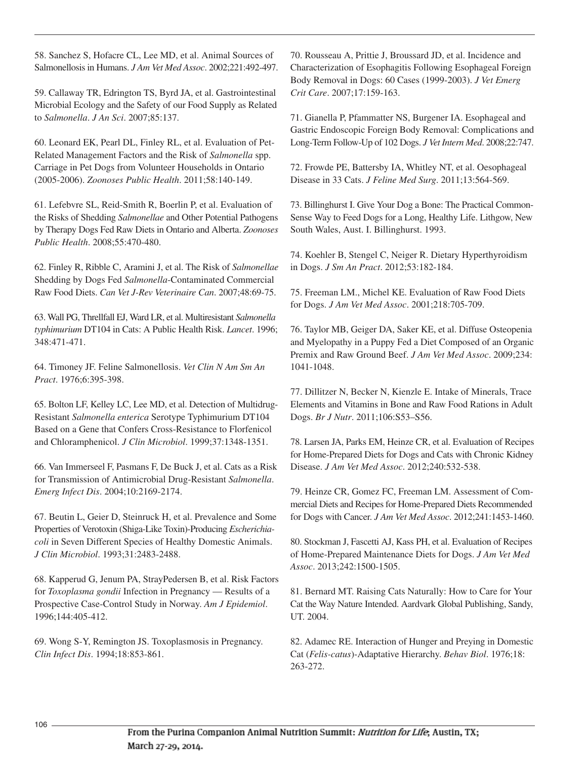58. Sanchez S, Hofacre CL, Lee MD, et al. Animal Sources of Salmonellosis in Humans. *J Am Vet Med Assoc*. 2002;221:492-497.

59. Callaway TR, Edrington TS, Byrd JA, et al. Gastrointestinal Microbial Ecology and the Safety of our Food Supply as Related to *Salmonella*. *J An Sci*. 2007;85:137.

60. Leonard EK, Pearl DL, Finley RL, et al. Evaluation of Pet-Related Management Factors and the Risk of *Salmonella* spp. Carriage in Pet Dogs from Volunteer Households in Ontario (2005-2006). *Zoonoses Public Health*. 2011;58:140-149.

61. Lefebvre SL, Reid-Smith R, Boerlin P, et al. Evaluation of the Risks of Shedding *Salmonellae* and Other Potential Pathogens by Therapy Dogs Fed Raw Diets in Ontario and Alberta. *Zoonoses Public Health*. 2008;55:470-480.

62. Finley R, Ribble C, Aramini J, et al. The Risk of *Salmonellae* Shedding by Dogs Fed *Salmonella*-Contaminated Commercial Raw Food Diets. *Can Vet J-Rev Veterinaire Can*. 2007;48:69-75.

63. Wall PG, Threllfall EJ, Ward LR, et al. Multiresistant *Salmonella typhimurium* DT104 in Cats: A Public Health Risk. *Lancet*. 1996; 348:471-471.

64. Timoney JF. Feline Salmonellosis. *Vet Clin N Am Sm An Pract*. 1976;6:395-398.

65. Bolton LF, Kelley LC, Lee MD, et al. Detection of Multidrug-Resistant *Salmonella enterica* Serotype Typhimurium DT104 Based on a Gene that Confers Cross-Resistance to Florfenicol and Chloramphenicol. *J Clin Microbiol*. 1999;37:1348-1351.

66. Van Immerseel F, Pasmans F, De Buck J, et al. Cats as a Risk for Transmission of Antimicrobial Drug-Resistant *Salmonella*. *Emerg Infect Dis*. 2004;10:2169-2174.

67. Beutin L, Geier D, Steinruck H, et al. Prevalence and Some Properties of Verotoxin (Shiga-Like Toxin)-Producing *Escherichiacoli* in Seven Different Species of Healthy Domestic Animals. *J Clin Microbiol*. 1993;31:2483-2488.

68. Kapperud G, Jenum PA, StrayPedersen B, et al. Risk Factors for *Toxoplasma gondii* Infection in Pregnancy — Results of a Prospective Case-Control Study in Norway. *Am J Epidemiol*. 1996;144:405-412.

69. Wong S-Y, Remington JS. Toxoplasmosis in Pregnancy. *Clin Infect Dis*. 1994;18:853-861.

70. Rousseau A, Prittie J, Broussard JD, et al. Incidence and Characterization of Esophagitis Following Esophageal Foreign Body Removal in Dogs: 60 Cases (1999-2003). *J Vet Emerg Crit Care*. 2007;17:159-163.

71. Gianella P, Pfammatter NS, Burgener IA. Esophageal and Gastric Endoscopic Foreign Body Removal: Complications and Long-Term Follow-Up of 102 Dogs. *J Vet Intern Med*. 2008;22:747.

72. Frowde PE, Battersby IA, Whitley NT, et al. Oesophageal Disease in 33 Cats. *J Feline Med Surg*. 2011;13:564-569.

73. Billinghurst I. Give Your Dog a Bone: The Practical Common-Sense Way to Feed Dogs for a Long, Healthy Life. Lithgow, New South Wales, Aust. I. Billinghurst. 1993.

74. Koehler B, Stengel C, Neiger R. Dietary Hyperthyroidism in Dogs. *J Sm An Pract*. 2012;53:182-184.

75. Freeman LM., Michel KE. Evaluation of Raw Food Diets for Dogs. *J Am Vet Med Assoc*. 2001;218:705-709.

76. Taylor MB, Geiger DA, Saker KE, et al. Diffuse Osteopenia and Myelopathy in a Puppy Fed a Diet Composed of an Organic Premix and Raw Ground Beef. *J Am Vet Med Assoc*. 2009;234: 1041-1048.

77. Dillitzer N, Becker N, Kienzle E. Intake of Minerals, Trace Elements and Vitamins in Bone and Raw Food Rations in Adult Dogs. *Br J Nutr*. 2011;106:S53–S56.

78. Larsen JA, Parks EM, Heinze CR, et al. Evaluation of Recipes for Home-Prepared Diets for Dogs and Cats with Chronic Kidney Disease. *J Am Vet Med Assoc*. 2012;240:532-538.

79. Heinze CR, Gomez FC, Freeman LM. Assessment of Commercial Diets and Recipes for Home-Prepared Diets Recommended for Dogs with Cancer. *J Am Vet Med Assoc*. 2012;241:1453-1460.

80. Stockman J, Fascetti AJ, Kass PH, et al. Evaluation of Recipes of Home-Prepared Maintenance Diets for Dogs. *J Am Vet Med Assoc*. 2013;242:1500-1505.

81. Bernard MT. Raising Cats Naturally: How to Care for Your Cat the Way Nature Intended. Aardvark Global Publishing, Sandy, UT. 2004.

82. Adamec RE. Interaction of Hunger and Preying in Domestic Cat (*Felis-catus*)-Adaptative Hierarchy. *Behav Biol*. 1976;18: 263-272.